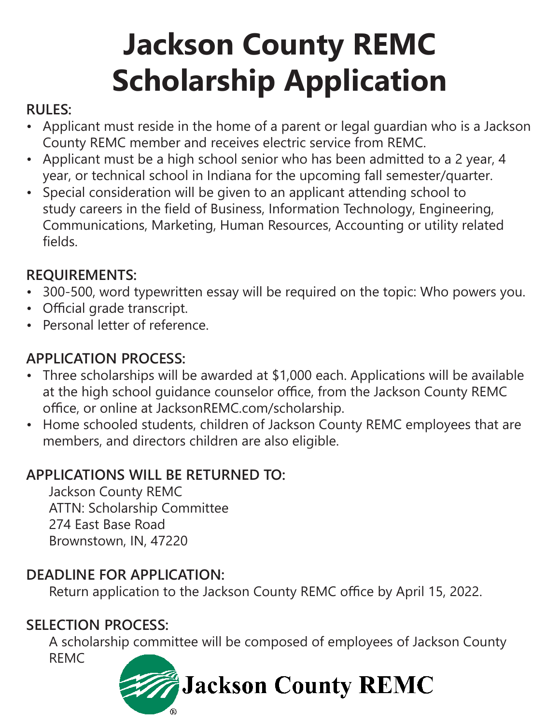## **Jackson County REMC Scholarship Application**

## **RULES:**

- Applicant must reside in the home of a parent or legal guardian who is a Jackson County REMC member and receives electric service from REMC.
- Applicant must be a high school senior who has been admitted to a 2 year, 4 year, or technical school in Indiana for the upcoming fall semester/quarter.
- Special consideration will be given to an applicant attending school to study careers in the field of Business, Information Technology, Engineering, Communications, Marketing, Human Resources, Accounting or utility related fields.

## **REQUIREMENTS:**

- 300-500, word typewritten essay will be required on the topic: Who powers you.
- Official grade transcript.
- Personal letter of reference.

## **APPLICATION PROCESS:**

- Three scholarships will be awarded at \$1,000 each. Applications will be available at the high school guidance counselor office, from the Jackson County REMC office, or online at JacksonREMC.com/scholarship.
- Home schooled students, children of Jackson County REMC employees that are members, and directors children are also eligible.

## **APPLICATIONS WILL BE RETURNED TO:**

 Jackson County REMC ATTN: Scholarship Committee 274 East Base Road Brownstown, IN, 47220

## **DEADLINE FOR APPLICATION:**

Return application to the Jackson County REMC office by April 15, 2022.

## **SELECTION PROCESS:**

 A scholarship committee will be composed of employees of Jackson County REMC

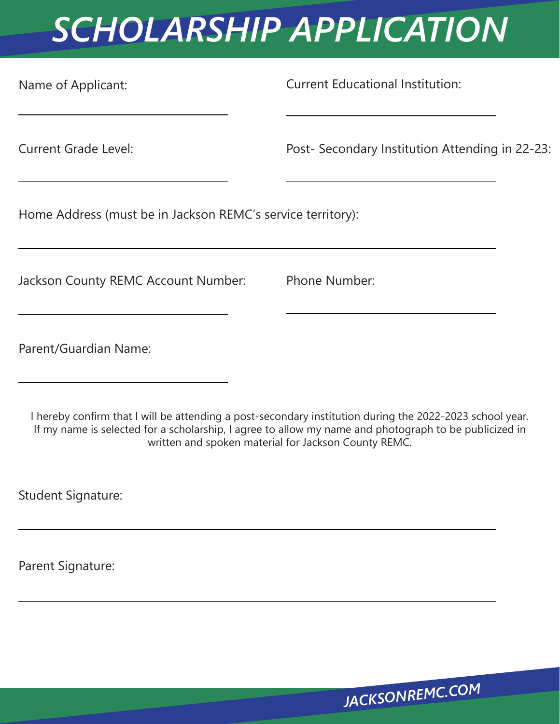## *SCHOLARSHIP APPLICATION*

Name of Applicant: Current Educational Institution:

Current Grade Level: Post- Secondary Institution Attending in 22-23:

Home Address (must be in Jackson REMC's service territory):

Jackson County REMC Account Number: Phone Number:

Parent/Guardian Name:

I hereby confirm that I will be attending a post-secondary institution during the 2022-2023 school year. If my name is selected for a scholarship, I agree to allow my name and photograph to be publicized in written and spoken material for Jackson County REMC.

Student Signature:

Parent Signature:

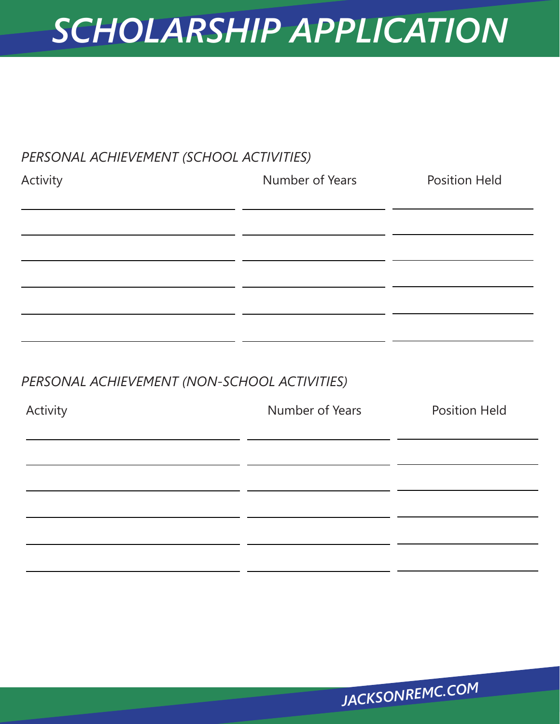## *SCHOLARSHIP APPLICATION*

# *PERSONAL ACHIEVEMENT (SCHOOL ACTIVITIES)* Activity **Number of Years** Position Held

#### *PERSONAL ACHIEVEMENT (NON-SCHOOL ACTIVITIES)*

| <b>Position Held</b> | Number of Years | Activity |
|----------------------|-----------------|----------|
|                      |                 |          |
|                      |                 |          |
|                      |                 |          |
|                      |                 |          |
|                      |                 |          |
|                      |                 |          |